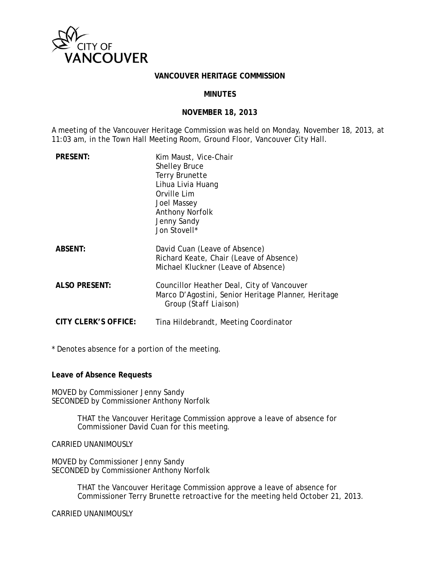

#### **VANCOUVER HERITAGE COMMISSION**

#### **MINUTES**

#### **NOVEMBER 18, 2013**

A meeting of the Vancouver Heritage Commission was held on Monday, November 18, 2013, at 11:03 am, in the Town Hall Meeting Room, Ground Floor, Vancouver City Hall.

| <b>PRESENT:</b>      | Kim Maust, Vice-Chair<br><b>Shelley Bruce</b><br><b>Terry Brunette</b><br>Lihua Livia Huang<br>Orville Lim<br>Joel Massey<br><b>Anthony Norfolk</b><br>Jenny Sandy<br>Jon Stovell* |
|----------------------|------------------------------------------------------------------------------------------------------------------------------------------------------------------------------------|
| <b>ABSENT:</b>       | David Cuan (Leave of Absence)<br>Richard Keate, Chair (Leave of Absence)<br>Michael Kluckner (Leave of Absence)                                                                    |
| <b>ALSO PRESENT:</b> | Councillor Heather Deal, City of Vancouver<br>Marco D'Agostini, Senior Heritage Planner, Heritage<br>Group <i>(Staff Liaison)</i>                                                  |
| CITY CLERK'S OFFICE: | Tina Hildebrandt, Meeting Coordinator                                                                                                                                              |

\* Denotes absence for a portion of the meeting.

**Leave of Absence Requests** 

MOVED by Commissioner Jenny Sandy SECONDED by Commissioner Anthony Norfolk

> THAT the Vancouver Heritage Commission approve a leave of absence for Commissioner David Cuan for this meeting.

CARRIED UNANIMOUSLY

MOVED by Commissioner Jenny Sandy SECONDED by Commissioner Anthony Norfolk

> THAT the Vancouver Heritage Commission approve a leave of absence for Commissioner Terry Brunette retroactive for the meeting held October 21, 2013.

CARRIED UNANIMOUSLY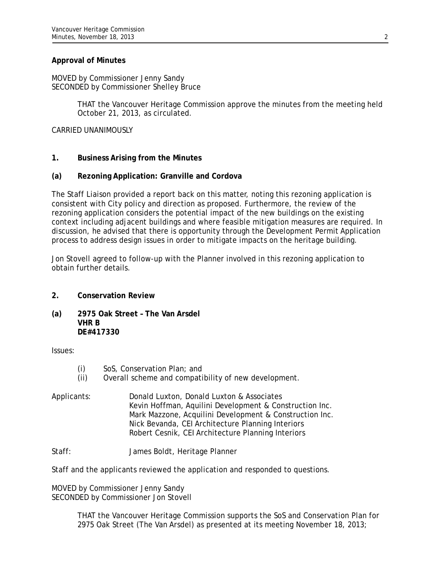### **Approval of Minutes**

MOVED by Commissioner Jenny Sandy SECONDED by Commissioner Shelley Bruce

> THAT the Vancouver Heritage Commission approve the minutes from the meeting held October 21, 2013, as circulated.

CARRIED UNANIMOUSLY

## **1. Business Arising from the Minutes**

## **(a) Rezoning Application: Granville and Cordova**

The Staff Liaison provided a report back on this matter, noting this rezoning application is consistent with City policy and direction as proposed. Furthermore, the review of the rezoning application considers the potential impact of the new buildings on the existing context including adjacent buildings and where feasible mitigation measures are required. In discussion, he advised that there is opportunity through the Development Permit Application process to address design issues in order to mitigate impacts on the heritage building.

Jon Stovell agreed to follow-up with the Planner involved in this rezoning application to obtain further details.

### **2. Conservation Review**

**(a) 2975 Oak Street – The Van Arsdel VHR B DE#417330** 

Issues:

- (i) SoS, Conservation Plan; and
- (ii) Overall scheme and compatibility of new development.
- Applicants: Donald Luxton, Donald Luxton & Associates Kevin Hoffman, Aquilini Development & Construction Inc. Mark Mazzone, Acquilini Development & Construction Inc. Nick Bevanda, CEI Architecture Planning Interiors Robert Cesnik, CEI Architecture Planning Interiors

Staff: James Boldt, Heritage Planner

Staff and the applicants reviewed the application and responded to questions.

MOVED by Commissioner Jenny Sandy SECONDED by Commissioner Jon Stovell

> THAT the Vancouver Heritage Commission supports the SoS and Conservation Plan for 2975 Oak Street (The Van Arsdel) as presented at its meeting November 18, 2013;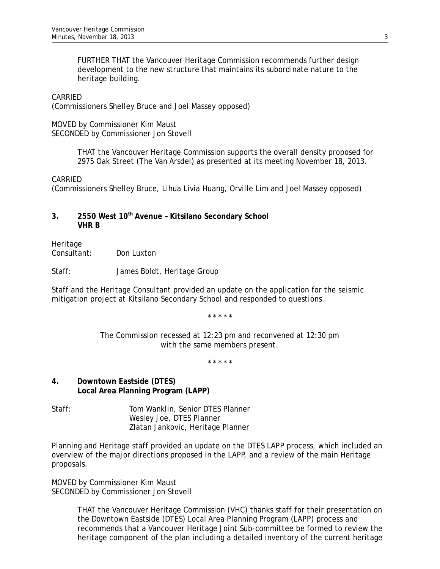FURTHER THAT the Vancouver Heritage Commission recommends further design development to the new structure that maintains its subordinate nature to the heritage building.

### CARRIED

(Commissioners Shelley Bruce and Joel Massey opposed)

MOVED by Commissioner Kim Maust SECONDED by Commissioner Jon Stovell

> THAT the Vancouver Heritage Commission supports the overall density proposed for 2975 Oak Street (The Van Arsdel) as presented at its meeting November 18, 2013.

### CARRIED

(Commissioners Shelley Bruce, Lihua Livia Huang, Orville Lim and Joel Massey opposed)

## **3. 2550 West 10th Avenue – Kitsilano Secondary School VHR B**

Heritage Consultant: Don Luxton

Staff: James Boldt, Heritage Group

Staff and the Heritage Consultant provided an update on the application for the seismic mitigation project at Kitsilano Secondary School and responded to questions.

*\* \* \* \* \** 

*The Commission recessed at 12:23 pm and reconvened at 12:30 pm with the same members present.* 

*\* \* \* \* \** 

## **4. Downtown Eastside (DTES) Local Area Planning Program (LAPP)**

Staff: Tom Wanklin, Senior DTES Planner Wesley Joe, DTES Planner Zlatan Jankovic, Heritage Planner

Planning and Heritage staff provided an update on the DTES LAPP process, which included an overview of the major directions proposed in the LAPP, and a review of the main Heritage proposals.

MOVED by Commissioner Kim Maust SECONDED by Commissioner Jon Stovell

> THAT the Vancouver Heritage Commission (VHC) thanks staff for their presentation on the Downtown Eastside (DTES) Local Area Planning Program (LAPP) process and recommends that a Vancouver Heritage Joint Sub-committee be formed to review the heritage component of the plan including a detailed inventory of the current heritage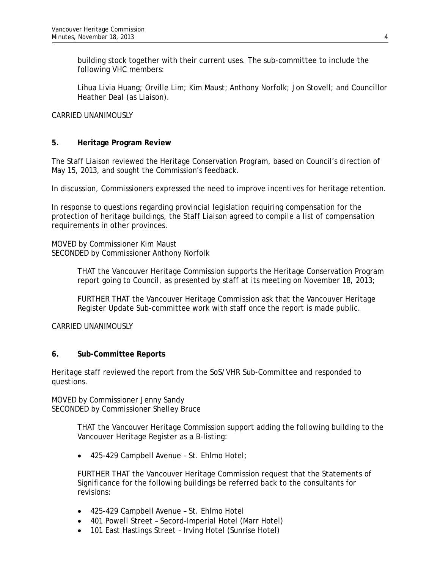building stock together with their current uses. The sub-committee to include the following VHC members:

Lihua Livia Huang; Orville Lim; Kim Maust; Anthony Norfolk; Jon Stovell; and Councillor Heather Deal *(as Liaison)*.

## CARRIED UNANIMOUSLY

## **5. Heritage Program Review**

The Staff Liaison reviewed the Heritage Conservation Program, based on Council's direction of May 15, 2013, and sought the Commission's feedback.

In discussion, Commissioners expressed the need to improve incentives for heritage retention.

In response to questions regarding provincial legislation requiring compensation for the protection of heritage buildings, the Staff Liaison agreed to compile a list of compensation requirements in other provinces.

MOVED by Commissioner Kim Maust SECONDED by Commissioner Anthony Norfolk

> THAT the Vancouver Heritage Commission supports the Heritage Conservation Program report going to Council, as presented by staff at its meeting on November 18, 2013;

FURTHER THAT the Vancouver Heritage Commission ask that the Vancouver Heritage Register Update Sub-committee work with staff once the report is made public.

### CARRIED UNANIMOUSLY

### **6. Sub-Committee Reports**

Heritage staff reviewed the report from the SoS/VHR Sub-Committee and responded to questions.

MOVED by Commissioner Jenny Sandy SECONDED by Commissioner Shelley Bruce

> THAT the Vancouver Heritage Commission support adding the following building to the Vancouver Heritage Register as a B-listing:

425-429 Campbell Avenue – St. Ehlmo Hotel;

FURTHER THAT the Vancouver Heritage Commission request that the Statements of Significance for the following buildings be referred back to the consultants for revisions:

- 425-429 Campbell Avenue St. Ehlmo Hotel
- 401 Powell Street Secord-Imperial Hotel (Marr Hotel)
- 101 East Hastings Street Irving Hotel (Sunrise Hotel)